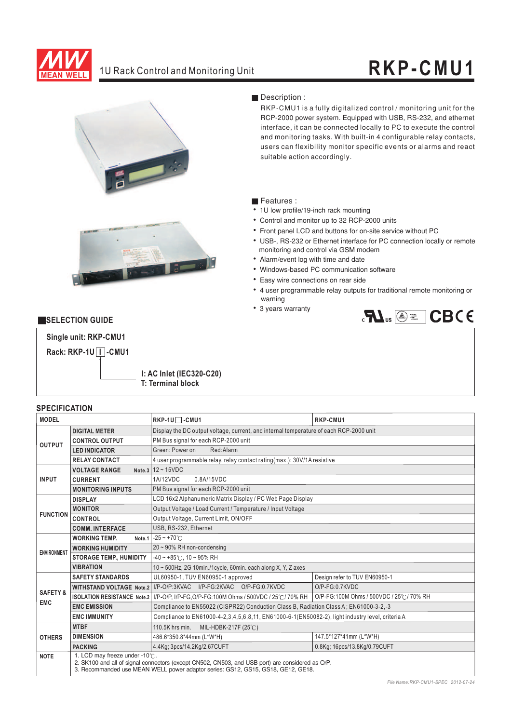

## 1U Rack Control and Monitoring Unit **RKP-CM U1**





#### Description :

RCP-2000 power system. Equipped with USB, RS-232, and ethernet RKP-CMU1 is a fully digitalized control / monitoring unit for the interface, it can be connected locally to PC to execute the control and monitoring tasks. With built-in 4 configurable relay contacts, users can flexibility monitor specific events or alarms and react suitable action accordingly.

#### ■ Features :

- 1U low profile/19-inch rack mounting
- Control and monitor up to 32 RCP-2000 units
- Front panel LCD and buttons for on-site service without PC
- ¡E¡E¡E¡E¡E¡E¡E¡E¡E USB-, RS-232 or Ethernet interface for PC connection locally or remote monitoring and control via GSM modem
- Alarm/event log with time and date
- Windows-based PC communication software
- Easy wire connections on rear side
- 4 user programmable relay outputs for traditional remote monitoring or warning
- 3 years warranty



#### **EXELECTION GUIDE**



#### **I: AC Inlet (IEC320-C20) T: Terminal block**

## **SPECIFICATION**

| <b>MODEL</b>        |                                | RKP-1U□-CMU1                                                                                                                                                                         | RKP-CMU1                                |  |  |  |
|---------------------|--------------------------------|--------------------------------------------------------------------------------------------------------------------------------------------------------------------------------------|-----------------------------------------|--|--|--|
|                     | <b>DIGITAL METER</b>           | Display the DC output voltage, current, and internal temperature of each RCP-2000 unit                                                                                               |                                         |  |  |  |
| <b>OUTPUT</b>       | <b>CONTROL OUTPUT</b>          | PM Bus signal for each RCP-2000 unit                                                                                                                                                 |                                         |  |  |  |
|                     | <b>LED INDICATOR</b>           | Green: Power on<br>Red:Alarm                                                                                                                                                         |                                         |  |  |  |
|                     | <b>RELAY CONTACT</b>           | 4 user programmable relay, relay contact rating (max.): 30V/1A resistive                                                                                                             |                                         |  |  |  |
|                     | <b>VOLTAGE RANGE</b>           | Note.3 $12 \sim 15$ VDC                                                                                                                                                              |                                         |  |  |  |
| <b>INPUT</b>        | <b>CURRENT</b>                 | 0.8A/15VDC<br>1A/12VDC                                                                                                                                                               |                                         |  |  |  |
|                     | <b>MONITORING INPUTS</b>       | PM Bus signal for each RCP-2000 unit                                                                                                                                                 |                                         |  |  |  |
|                     | <b>DISPLAY</b>                 | LCD 16x2 Alphanumeric Matrix Display / PC Web Page Display                                                                                                                           |                                         |  |  |  |
| <b>FUNCTION</b>     | <b>MONITOR</b>                 | Output Voltage / Load Current / Temperature / Input Voltage                                                                                                                          |                                         |  |  |  |
|                     | <b>CONTROL</b>                 | Output Voltage, Current Limit, ON/OFF                                                                                                                                                |                                         |  |  |  |
|                     | <b>COMM. INTERFACE</b>         | USB. RS-232. Ethernet                                                                                                                                                                |                                         |  |  |  |
|                     | <b>WORKING TEMP.</b><br>Note.1 | $-25 - +70^{\circ}$                                                                                                                                                                  |                                         |  |  |  |
| <b>ENVIRONMENT</b>  | <b>WORKING HUMIDITY</b>        | $20 \sim 90\%$ RH non-condensing                                                                                                                                                     |                                         |  |  |  |
|                     | <b>STORAGE TEMP., HUMIDITY</b> | $-40 \sim +85^{\circ}$ C, 10 ~ 95% RH                                                                                                                                                |                                         |  |  |  |
|                     | <b>VIBRATION</b>               | 10 ~ 500Hz, 2G 10min./1cycle, 60min. each along X, Y, Z axes                                                                                                                         |                                         |  |  |  |
|                     | <b>SAFETY STANDARDS</b>        | UL60950-1, TUV EN60950-1 approved                                                                                                                                                    | Design refer to TUV EN60950-1           |  |  |  |
| <b>SAFETY &amp;</b> |                                | WITHSTAND VOLTAGE Note.2 I/P-O/P:3KVAC I/P-FG:2KVAC O/P-FG:0.7KVDC                                                                                                                   | O/P-FG:0.7KVDC                          |  |  |  |
| <b>EMC</b>          |                                | ISOLATION RESISTANCE Note.2   I/P-O/P, I/P-FG, O/P-FG:100M Ohms / 500VDC / 25°C/70% RH                                                                                               | O/P-FG:100M Ohms / 500VDC / 25℃/ 70% RH |  |  |  |
|                     | <b>EMC EMISSION</b>            | Compliance to EN55022 (CISPR22) Conduction Class B, Radiation Class A; EN61000-3-2,-3                                                                                                |                                         |  |  |  |
|                     | <b>EMC IMMUNITY</b>            | Compliance to EN61000-4-2, 3, 4, 5, 6, 8, 11, EN61000-6-1 (EN50082-2), light industry level, criteria A                                                                              |                                         |  |  |  |
|                     | <b>MTBF</b>                    | 110.5K hrs min.<br>MIL-HDBK-217F (25℃)                                                                                                                                               |                                         |  |  |  |
| <b>OTHERS</b>       | <b>DIMENSION</b>               | 486.6*350.8*44mm (L*W*H)                                                                                                                                                             | 147.5*127*41mm (L*W*H)                  |  |  |  |
|                     | <b>PACKING</b>                 | 4.4Kg; 3pcs/14.2Kg/2.67CUFT                                                                                                                                                          | 0.8Kg; 16pcs/13.8Kg/0.79CUFT            |  |  |  |
| <b>NOTE</b>         | 1. LCD may freeze under -10°C. | 2. SK100 and all of signal connectors (except CN502, CN503, and USB port) are considered as O/P.<br>3. Recommanded use MEAN WELL power adaptor series: GS12, GS15, GS18, GE12, GE18. |                                         |  |  |  |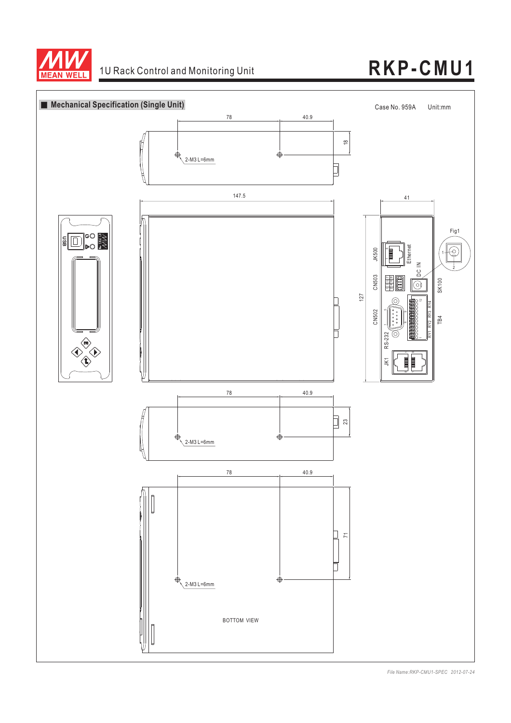

# 1U Rack Control and Monitoring Unit **RKP-CMU1**



*File Name:RKP-CMU1-SPEC 2012-07-24*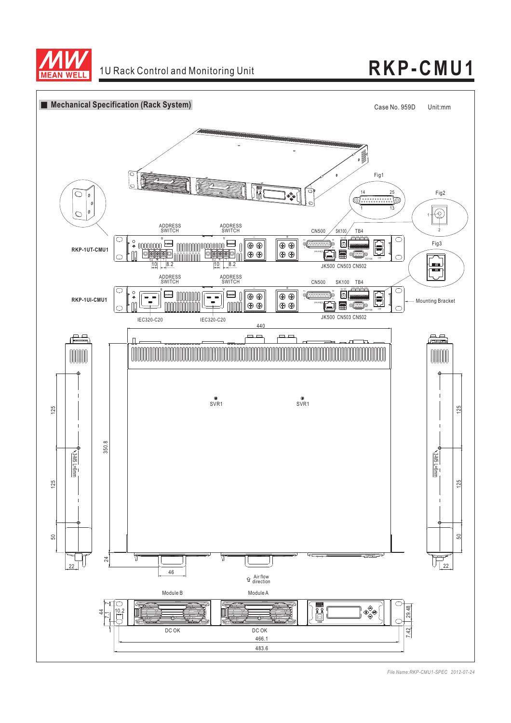

## 1U Rack Control and Monitoring Unit **RKP-CM U1**



*File Name:RKP-CMU1-SPEC 2012-07-24*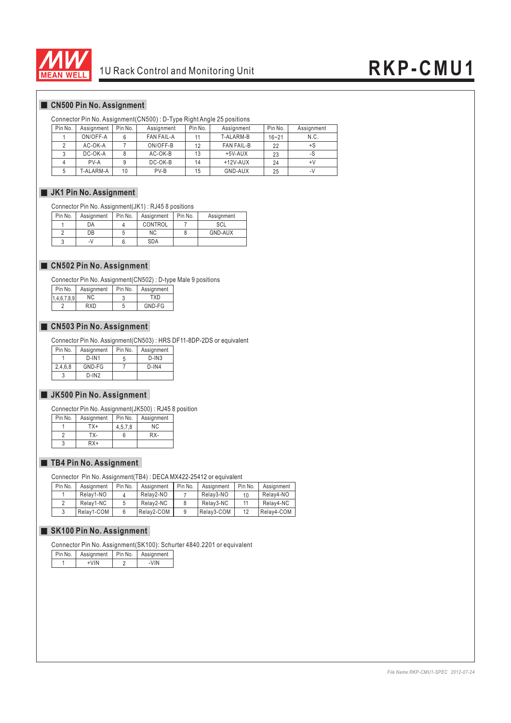

## 10 Rack Control and Monitoring Unit **RKP-CMU1**

### **CN500 Pin No. Assignment**

#### Connector Pin No. Assignment(CN500) : D-Type Right Angle 25 positions

| Pin No. | Assignment | Pin No. | Assignment        | Pin No. | Assignment        | Pin No.   | Assignment |
|---------|------------|---------|-------------------|---------|-------------------|-----------|------------|
|         | ON/OFF-A   |         | <b>FAN FAIL-A</b> |         | T-ALARM-B         | $16 - 21$ | N.C.       |
|         | AC-OK-A    |         | ON/OFF-B          | 12      | <b>FAN FAIL-B</b> | 22        | +S         |
|         | DC-OK-A    |         | AC-OK-B           | 13      | $+5V-AUX$         | 23        | -S         |
|         | PV-A       |         | DC-OK-B           | 14      | $+12V-AUX$        | 24        | $+V$       |
|         | T-ALARM-A  | 10      | PV-B              | 15      | GND-AUX           | 25        | -7         |

#### $\blacksquare$  **JK1 Pin No. Assignment**

Connector Pin No. Assignment(JK1) : RJ45 8 positions

| Pin No. | Assignment | Pin No. | Assignment | Pin No. | Assignment |
|---------|------------|---------|------------|---------|------------|
|         | ОA         |         | CONTROL    |         | SCL        |
|         | DB         |         | ΝC         |         | GND-AUX    |
|         | $-1$       |         | <b>SDA</b> |         |            |

#### **CN502 Pin No. Assignment**

Connector Pin No. Assignment(CN502) : D-type Male 9 positions

| Pin No.      | Assignment | Pin No. | Assignment |
|--------------|------------|---------|------------|
| 1,4,6,7.8.91 | ΝC         |         | TXD        |
|              | RXD        |         | GND-FG     |

#### **CN503 Pin No. Assignment**

Connector Pin No. Assignment(CN503) : HRS DF11-8DP-2DS or equivalent

| Pin No. | Assignment | Pin No. | Assignment |
|---------|------------|---------|------------|
|         | $D$ -IN1   | 5       | $D$ -IN3   |
| 2,4,6,8 | GND-FG     |         | $D$ -IN4   |
| 3       | $D$ -IN2   |         |            |

#### **JK500 Pin No. Assignment**

Connector Pin No. Assignment(JK500) : RJ45 8 position

| Pin No. | Assignment | Pin No. | Assignment |
|---------|------------|---------|------------|
|         | TX+        | 4.5.7.8 | ΝC         |
|         | тх-        |         | RX-        |
|         | RX+        |         |            |

#### **TB4 Pin No. Assignment**

Connector Pin No. Assignment(TB4) : DECA MX422-25412 or equivalent

| Pin No. | Assignment | Pin No. | Assignment | Pin No. | Assignment | Pin No. | Assignment |
|---------|------------|---------|------------|---------|------------|---------|------------|
|         | Relav1-NO  |         | Relav2-NO  |         | Relav3-NO  | 10      | Relay4-NO  |
|         | Relav1-NC  |         | Relav2-NC  |         | Relav3-NC  |         | Relay4-NC  |
|         | Relay1-COM |         | Relay2-COM |         | Relay3-COM |         | Relay4-COM |

#### **SK100 Pin No. Assignment**

Connector Pin No. Assignment(SK100): Schurter 4840.2201 or equivalent

| Pin No. | Assignment | l Pin No. | Assignment |
|---------|------------|-----------|------------|
|         | $+VIN$     |           | -VIN       |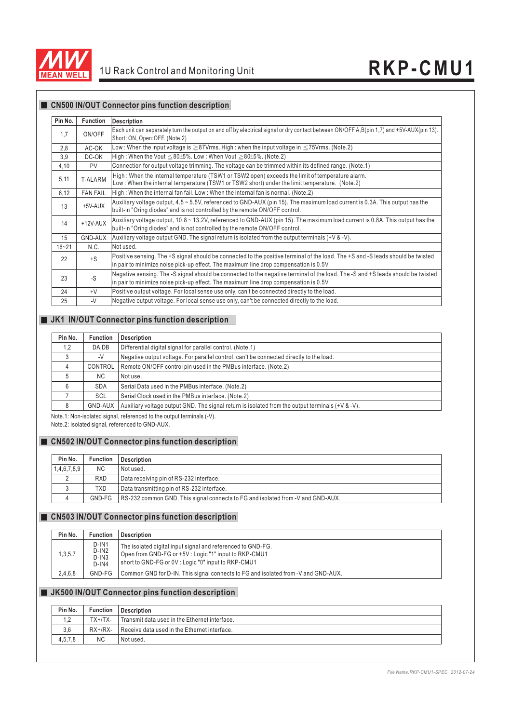

I

**CN500 IN/OUT Connector pins function description**

| <b>CN500 IN/OUT Connector pins function description</b> |
|---------------------------------------------------------|
|                                                         |

| Pin No.   | <b>Function</b> | <b>Description</b>                                                                                                                                                                                                       |
|-----------|-----------------|--------------------------------------------------------------------------------------------------------------------------------------------------------------------------------------------------------------------------|
| 1,7       | ON/OFF          | Each unit can separately turn the output on and off by electrical signal or dry contact between ON/OFF A, B(pin 1,7) and +5V-AUX(pin 13).<br>Short: ON, Open: OFF. (Note.2)                                              |
| 2,8       | AC-OK           | Low : When the input voltage is $\geq$ 87Vrms. High : when the input voltage in $\leq$ 75Vrms. (Note.2)                                                                                                                  |
| 3,9       | DC-OK           | High: When the Vout $\leq$ 80±5%. Low: When Vout $\geq$ 80±5%. (Note.2)                                                                                                                                                  |
| 4,10      | <b>PV</b>       | Connection for output voltage trimming. The voltage can be trimmed within its defined range. (Note.1)                                                                                                                    |
| 5,11      | T-ALARM         | High: When the internal temperature (TSW1 or TSW2 open) exceeds the limit of temperature alarm.<br>Low: When the internal temperature (TSW1 or TSW2 short) under the limit temperature. (Note.2)                         |
| 6,12      | <b>FAN FAIL</b> | High: When the internal fan fail. Low: When the internal fan is normal. (Note.2)                                                                                                                                         |
| 13        | +5V-AUX         | Auxiliary voltage output, 4.5 ~ 5.5V, referenced to GND-AUX (pin 15). The maximum load current is 0.3A. This output has the<br>built-in "Oring diodes" and is not controlled by the remote ON/OFF control.               |
| 14        | $+12V-AUX$      | Auxiliary voltage output, 10.8 ~ 13.2V, referenced to GND-AUX (pin 15). The maximum load current is 0.8A. This output has the<br>built-in "Oring diodes" and is not controlled by the remote ON/OFF control.             |
| 15        | <b>GND-AUX</b>  | Auxiliary voltage output GND. The signal return is isolated from the output terminals $(+\vee 8 - \vee)$ .                                                                                                               |
| $16 - 21$ | N.C.            | Not used.                                                                                                                                                                                                                |
| 22        | $+S$            | Positive sensing. The +S signal should be connected to the positive terminal of the load. The +S and -S leads should be twisted<br>in pair to minimize noise pick-up effect. The maximum line drop compensation is 0.5V. |
| 23        | $-S$            | Negative sensing. The -S signal should be connected to the negative terminal of the load. The -S and +S leads should be twisted<br>in pair to minimize noise pick-up effect. The maximum line drop compensation is 0.5V. |
| 24        | $+V$            | Positive output voltage. For local sense use only, can't be connected directly to the load.                                                                                                                              |
| 25        | $-V$            | Negative output voltage. For local sense use only, can't be connected directly to the load.                                                                                                                              |

### **JK1 IN/OUT Connector pins function description**

| Pin No. | <b>Function</b> | <b>Description</b>                                                                                         |
|---------|-----------------|------------------------------------------------------------------------------------------------------------|
| 1,2     | DA.DB           | Differential digital signal for parallel control. (Note.1)                                                 |
|         | -V              | Negative output voltage. For parallel control, can't be connected directly to the load.                    |
| 4       | CONTROL         | Remote ON/OFF control pin used in the PMBus interface. (Note.2)                                            |
| 5       | <b>NC</b>       | Not use.                                                                                                   |
| 6       | <b>SDA</b>      | Serial Data used in the PMBus interface. (Note.2)                                                          |
|         | <b>SCL</b>      | Serial Clock used in the PMBus interface. (Note.2)                                                         |
| 8       | GND-AUX         | Auxiliary voltage output GND. The signal return is isolated from the output terminals $(+\vee 8 - \vee)$ . |

Note.1: Non-isolated signal, referenced to the output terminals (-V). Note.2: Isolated signal, referenced to GND-AUX.

#### **CN502 IN/OUT Connector pins function description**

| Pin No.     | <b>Function</b> | Description                                                                     |
|-------------|-----------------|---------------------------------------------------------------------------------|
| 1,4,6,7,8,9 | <b>NC</b>       | Not used.                                                                       |
|             | <b>RXD</b>      | Data receiving pin of RS-232 interface.                                         |
|             | TXD             | Data transmitting pin of RS-232 interface.                                      |
|             | GND-FG          | RS-232 common GND. This signal connects to FG and isolated from -V and GND-AUX. |

### **CN503 IN/OUT Connector pins function description**

| Pin No. | <b>Function</b>                             | Description                                                                                                                                                                |
|---------|---------------------------------------------|----------------------------------------------------------------------------------------------------------------------------------------------------------------------------|
| 1,3,5,7 | $D$ -IN1<br>$D$ -IN2<br>$D$ -IN3<br>$D-1N4$ | The isolated digital input signal and referenced to GND-FG.<br>Open from GND-FG or +5V : Logic "1" input to RKP-CMU1<br>short to GND-FG or 0V: Logic "0" input to RKP-CMU1 |
| 2,4,6,8 | GND-FG                                      | Common GND for D-IN. This signal connects to FG and isolated from -V and GND-AUX.                                                                                          |

### **JK500 IN/OUT Connector pins function description**

| Pin No. | <b>Function</b> | Description                                   |  |
|---------|-----------------|-----------------------------------------------|--|
| 1,2     | $TX+/TX-$       | Transmit data used in the Ethernet interface. |  |
| 3,6     | $RX+/RX-$       | Receive data used in the Ethernet interface.  |  |
| 4,5,7,8 | <b>NC</b>       | Not used.                                     |  |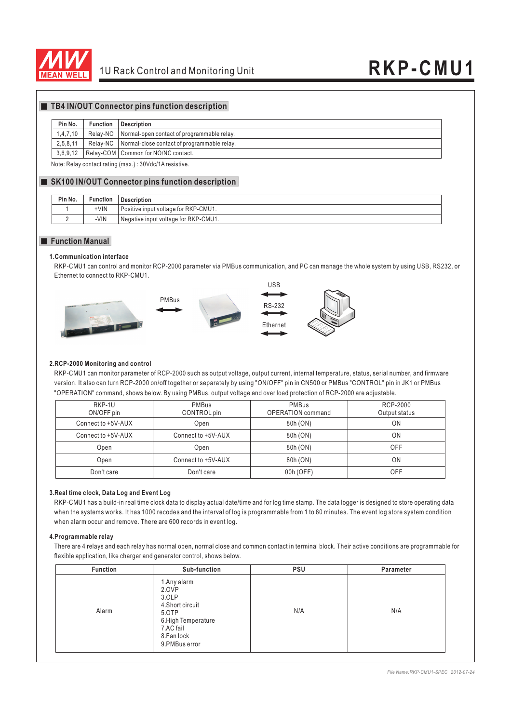

#### **TB4 IN/OUT Connector pins function description**

#### **Pin No. Function Description**

#### 1,4,7,10 Relay-NO Normal-open contact of programmable relay.

2,5,8,11 Relay-NC Normal-close contact of programmable relay.

3,6,9,12 Relay-COM Common for NO/NC contact.

Note: Relay contact rating (max.) : 30Vdc/1A resistive.

#### **SK100 IN/OUT Connector pins function description**

| Pin No. | <b>Function</b> | <b>Description</b>                   |
|---------|-----------------|--------------------------------------|
|         | +VIN            | Positive input voltage for RKP-CMU1. |
|         | -VIN            | Negative input voltage for RKP-CMU1. |

#### **Function Manual**

#### **1.Communication interface**

RKP-CMU1 can control and monitor RCP-2000 parameter via PMBus communication, and PC can manage the whole system by using USB, RS232, or Ethernet to connect to RKP-CMU1.



#### **2.RCP-2000 Monitoring and control**

RKP-CMU1 can monitor parameter of RCP-2000 such as output voltage, output current, internal temperature, status, serial number, and firmware version. It also can turn RCP-2000 on/off together or separately by using "ON/OFF" pin in CN500 or PMBus "CONTROL" pin in JK1 or PMBus "OPERATION" command, shows below. By using PMBus, output voltage and over load protection of RCP-2000 are adjustable.

| RKP-1U<br>ON/OFF pin | PMBus<br>CONTROL pin | PMBus<br><b>OPERATION</b> command | RCP-2000<br>Output status |
|----------------------|----------------------|-----------------------------------|---------------------------|
| Connect to +5V-AUX   | Open                 | 80h (ON)                          | ΟN                        |
| Connect to +5V-AUX   | Connect to +5V-AUX   | 80h (ON)                          | ΟN                        |
| Open                 | Open                 | 80h (ON)                          | <b>OFF</b>                |
| Open                 | Connect to +5V-AUX   | 80h (ON)                          | ΟN                        |
| Don't care           | Don't care           | 00h (OFF)                         | OFF                       |

#### **3.Real time clock, Data Log and Event Log**

RKP-CMU1 has a build-in real time clock data to display actual date/time and for log time stamp. The data logger is designed to store operating data when the systems works. It has 1000 recodes and the interval of log is programmable from 1 to 60 minutes. The event log store system condition when alarm occur and remove. There are 600 records in event log.

#### **4.Programmable relay**

There are 4 relays and each relay has normal open, normal close and common contact in terminal block. Their active conditions are programmable for flexible application, like charger and generator control, shows below.

| <b>Function</b> | Sub-function                                                                                                                  | <b>PSU</b> | Parameter |
|-----------------|-------------------------------------------------------------------------------------------------------------------------------|------------|-----------|
| Alarm           | 1. Any alarm<br>2.OVP<br>3.OLP<br>4.Short circuit<br>5.OTP<br>6. High Temperature<br>7.AC fail<br>8.Fan lock<br>9.PMBus error | N/A        | N/A       |